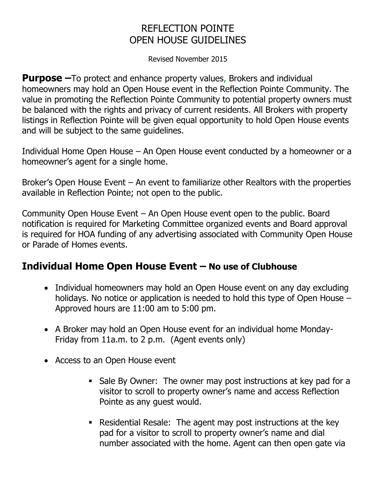Revised November 2015

**Purpose** –To protect and enhance property values, Brokers and individual homeowners may hold an Open House event in the Reflection Pointe Community. The value in promoting the Reflection Pointe Community to potential property owners must be balanced with the rights and privacy of current residents. All Brokers with property listings in Reflection Pointe will be given equal opportunity to hold Open House events and will be subject to the same guidelines.

Individual Home Open House – An Open House event conducted by a homeowner or a homeowner's agent for a single home.

Broker's Open House Event – An event to familiarize other Realtors with the properties available in Reflection Pointe; not open to the public.

Community Open House Event – An Open House event open to the public. Board notification is required for Marketing Committee organized events and Board approval is required for HOA funding of any advertising associated with Community Open House or Parade of Homes events.

### **Individual Home Open House Event – No use of Clubhouse**

- Individual homeowners may hold an Open House event on any day excluding holidays. No notice or application is needed to hold this type of Open House – Approved hours are 11:00 am to 5:00 pm.
- A Broker may hold an Open House event for an individual home Monday-Friday from 11a.m. to 2 p.m. (Agent events only)
- Access to an Open House event
	- Sale By Owner: The owner may post instructions at key pad for a visitor to scroll to property owner's name and access Reflection Pointe as any guest would.
	- Residential Resale: The agent may post instructions at the key pad for a visitor to scroll to property owner's name and dial number associated with the home. Agent can then open gate via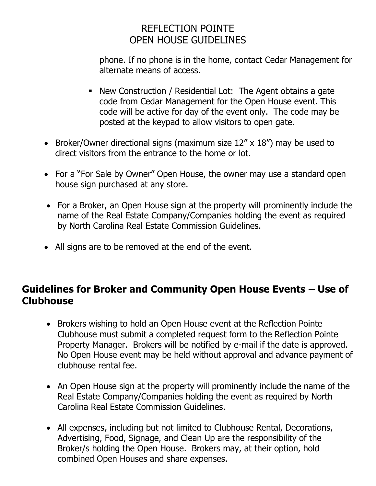phone. If no phone is in the home, contact Cedar Management for alternate means of access.

- New Construction / Residential Lot: The Agent obtains a gate code from Cedar Management for the Open House event. This code will be active for day of the event only. The code may be posted at the keypad to allow visitors to open gate.
- Broker/Owner directional signs (maximum size 12" x 18") may be used to direct visitors from the entrance to the home or lot.
- For a "For Sale by Owner" Open House, the owner may use a standard open house sign purchased at any store.
- For a Broker, an Open House sign at the property will prominently include the name of the Real Estate Company/Companies holding the event as required by North Carolina Real Estate Commission Guidelines.
- All signs are to be removed at the end of the event.

# **Guidelines for Broker and Community Open House Events – Use of Clubhouse**

- Brokers wishing to hold an Open House event at the Reflection Pointe Clubhouse must submit a completed request form to the Reflection Pointe Property Manager. Brokers will be notified by e-mail if the date is approved. No Open House event may be held without approval and advance payment of clubhouse rental fee.
- An Open House sign at the property will prominently include the name of the Real Estate Company/Companies holding the event as required by North Carolina Real Estate Commission Guidelines.
- All expenses, including but not limited to Clubhouse Rental, Decorations, Advertising, Food, Signage, and Clean Up are the responsibility of the Broker/s holding the Open House. Brokers may, at their option, hold combined Open Houses and share expenses.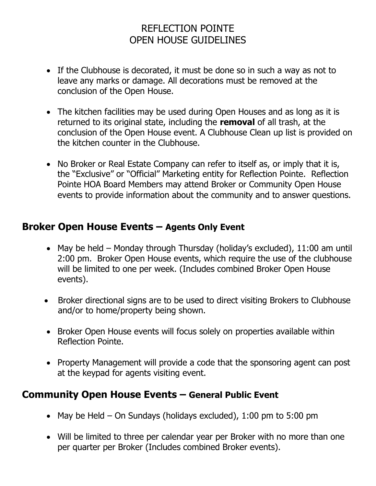- If the Clubhouse is decorated, it must be done so in such a way as not to leave any marks or damage. All decorations must be removed at the conclusion of the Open House.
- The kitchen facilities may be used during Open Houses and as long as it is returned to its original state, including the **removal** of all trash, at the conclusion of the Open House event. A Clubhouse Clean up list is provided on the kitchen counter in the Clubhouse.
- No Broker or Real Estate Company can refer to itself as, or imply that it is, the "Exclusive" or "Official" Marketing entity for Reflection Pointe. Reflection Pointe HOA Board Members may attend Broker or Community Open House events to provide information about the community and to answer questions.

### **Broker Open House Events – Agents Only Event**

- May be held Monday through Thursday (holiday's excluded), 11:00 am until 2:00 pm. Broker Open House events, which require the use of the clubhouse will be limited to one per week. (Includes combined Broker Open House events).
- Broker directional signs are to be used to direct visiting Brokers to Clubhouse and/or to home/property being shown.
- Broker Open House events will focus solely on properties available within Reflection Pointe.
- Property Management will provide a code that the sponsoring agent can post at the keypad for agents visiting event.

### **Community Open House Events – General Public Event**

- May be Held On Sundays (holidays excluded),  $1:00$  pm to  $5:00$  pm
- Will be limited to three per calendar year per Broker with no more than one per quarter per Broker (Includes combined Broker events).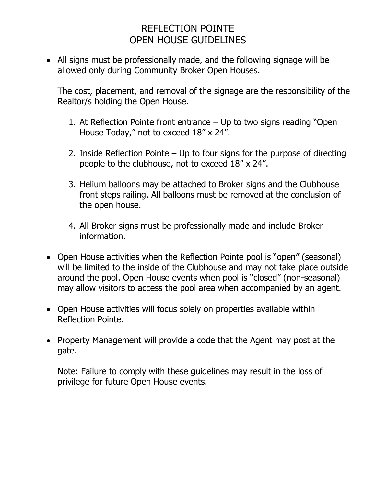All signs must be professionally made, and the following signage will be allowed only during Community Broker Open Houses.

The cost, placement, and removal of the signage are the responsibility of the Realtor/s holding the Open House.

- 1. At Reflection Pointe front entrance Up to two signs reading "Open House Today," not to exceed 18" x 24".
- 2. Inside Reflection Pointe Up to four signs for the purpose of directing people to the clubhouse, not to exceed 18" x 24".
- 3. Helium balloons may be attached to Broker signs and the Clubhouse front steps railing. All balloons must be removed at the conclusion of the open house.
- 4. All Broker signs must be professionally made and include Broker information.
- Open House activities when the Reflection Pointe pool is "open" (seasonal) will be limited to the inside of the Clubhouse and may not take place outside around the pool. Open House events when pool is "closed" (non-seasonal) may allow visitors to access the pool area when accompanied by an agent.
- Open House activities will focus solely on properties available within Reflection Pointe.
- Property Management will provide a code that the Agent may post at the gate.

Note: Failure to comply with these guidelines may result in the loss of privilege for future Open House events.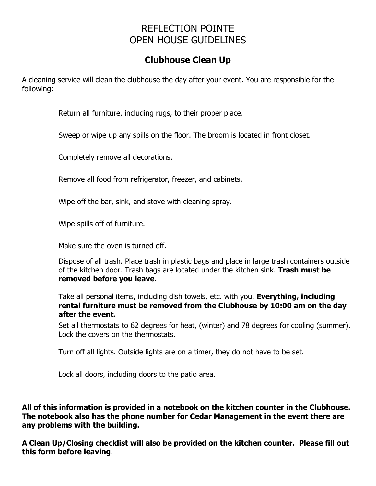#### **Clubhouse Clean Up**

A cleaning service will clean the clubhouse the day after your event. You are responsible for the following:

Return all furniture, including rugs, to their proper place.

Sweep or wipe up any spills on the floor. The broom is located in front closet.

Completely remove all decorations.

Remove all food from refrigerator, freezer, and cabinets.

Wipe off the bar, sink, and stove with cleaning spray.

Wipe spills off of furniture.

Make sure the oven is turned off.

Dispose of all trash. Place trash in plastic bags and place in large trash containers outside of the kitchen door. Trash bags are located under the kitchen sink. **Trash must be removed before you leave.**

Take all personal items, including dish towels, etc. with you. **Everything, including rental furniture must be removed from the Clubhouse by 10:00 am on the day after the event.**

Set all thermostats to 62 degrees for heat, (winter) and 78 degrees for cooling (summer). Lock the covers on the thermostats.

Turn off all lights. Outside lights are on a timer, they do not have to be set.

Lock all doors, including doors to the patio area.

**All of this information is provided in a notebook on the kitchen counter in the Clubhouse. The notebook also has the phone number for Cedar Management in the event there are any problems with the building.**

**A Clean Up/Closing checklist will also be provided on the kitchen counter. Please fill out this form before leaving**.